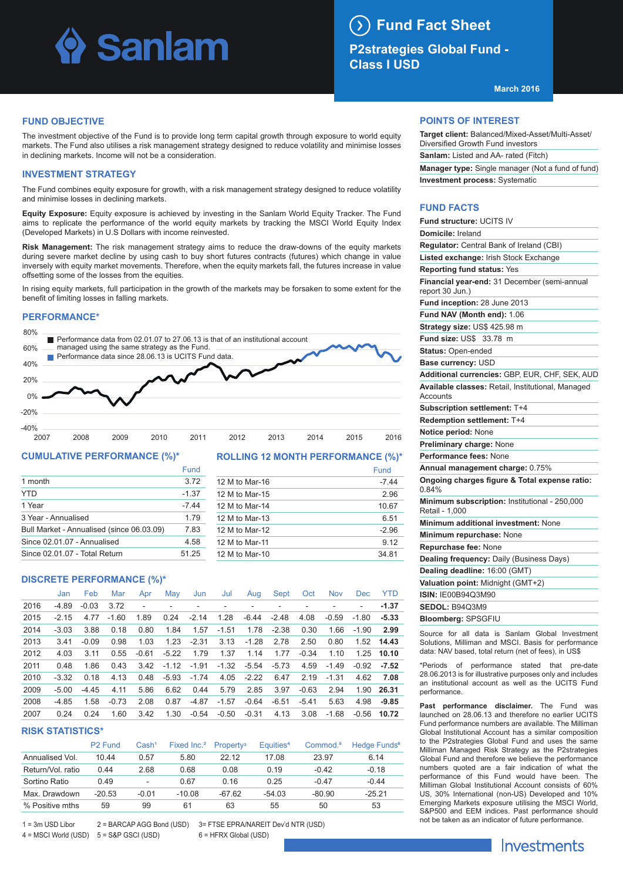## Sanlam

#### $(\lambda)$ **Fund Fact Sheet**

**P2strategies Global Fund - Class I USD**

**March 2016**

### **FUND OBJECTIVE**

The investment objective of the Fund is to provide long term capital growth through exposure to world equity markets. The Fund also utilises a risk management strategy designed to reduce volatility and minimise losses in declining markets. Income will not be a consideration.

### **INVESTMENT STRATEGY**

The Fund combines equity exposure for growth, with a risk management strategy designed to reduce volatility and minimise losses in declining markets.

**Equity Exposure:** Equity exposure is achieved by investing in the Sanlam World Equity Tracker. The Fund aims to replicate the performance of the world equity markets by tracking the MSCI World Equity Index (Developed Markets) in U.S Dollars with income reinvested.

**Risk Management:** The risk management strategy aims to reduce the draw-downs of the equity markets during severe market decline by using cash to buy short futures contracts (futures) which change in value inversely with equity market movements. Therefore, when the equity markets fall, the futures increase in value offsetting some of the losses from the equities.

In rising equity markets, full participation in the growth of the markets may be forsaken to some extent for the benefit of limiting losses in falling markets.

### **PERFORMANCE\***



### **CUMULATIVE PERFORMANCE (%)\***

|                                           | Fund    |
|-------------------------------------------|---------|
| 1 month                                   | 3.72    |
| <b>YTD</b>                                | $-1.37$ |
| 1 Year                                    | -7 44   |
| 3 Year - Annualised                       | 1 7 9   |
| Bull Market - Annualised (since 06.03.09) | 7.83    |
| Since 02.01.07 - Annualised               | 4.58    |
| Since 02.01.07 - Total Return             | 51.25   |

### **ROLLING 12 MONTH PERFORMANCE (%)\***

|                | Fund    |
|----------------|---------|
| 12 M to Mar-16 | $-7.44$ |
| 12 M to Mar-15 | 2.96    |
| 12 M to Mar-14 | 10.67   |
| 12 M to Mar-13 | 6.51    |
| 12 M to Mar-12 | $-2.96$ |
| 12 M to Mar-11 | 9.12    |
| 12 M to Mar-10 | 34.81   |

### **DISCRETE PERFORMANCE (%)\***

|      | Jan     | Feb     | Mar     | Apr     | May     | Jun     | Jul     | Aug     | Sept    | Oct     | <b>Nov</b> | <b>Dec</b> | <b>YTD</b> |
|------|---------|---------|---------|---------|---------|---------|---------|---------|---------|---------|------------|------------|------------|
| 2016 | $-4.89$ | $-0.03$ | 3.72    |         |         |         |         |         |         |         |            | ٠          | $-1.37$    |
| 2015 | $-2.15$ | 4.77    | $-1.60$ | 1.89    | 0.24    | $-2.14$ | 1.28    | $-6.44$ | $-2.48$ | 4.08    | $-0.59$    | -1.80      | $-5.33$    |
| 2014 | $-3.03$ | 3.88    | 0.18    | 0.80    | 1.84    | 1.57    | $-1.51$ | 1.78    | $-2.38$ | 0.30    | 1.66       | $-1.90$    | 2.99       |
| 2013 | 3.41    | $-0.09$ | 0.98    | 1.03    | 1.23    | $-2.31$ | 3.13    | $-1.28$ | 2.78    | 2.50    | 0.80       |            | 1.52 14.43 |
| 2012 | 4.03    | 3.11    | 0.55    | $-0.61$ | $-5.22$ | 1.79    | 1.37    | 1.14    | 1.77    | $-0.34$ | 1.10       | 1.25       | 10.10      |
| 2011 | 0.48    | 1.86    | 0.43    | 3.42    | $-1.12$ | $-1.91$ | $-1.32$ | $-5.54$ | $-5.73$ | 4.59    | $-1.49$    | $-0.92$    | $-7.52$    |
| 2010 | $-3.32$ | 0.18    | 4.13    | 0.48    | -5.93   | $-1.74$ | 4.05    | $-2.22$ | 6.47    | 2.19    | $-1.31$    | 4.62       | 7.08       |
| 2009 | $-5.00$ | $-4.45$ | 4.11    | 5.86    | 6.62    | 0.44    | 5.79    | 2.85    | 3.97    | $-0.63$ | 2.94       | 1.90       | 26.31      |
| 2008 | $-4.85$ | 1.58    | $-0.73$ | 2.08    | 0.87    | $-4.87$ | $-1.57$ | $-0.64$ | $-6.51$ | $-5.41$ | 5.63       | 4.98       | $-9.85$    |
| 2007 | 0.24    | 0.24    | 1.60    | 3.42    | 1.30    | $-0.54$ | $-0.50$ | $-0.31$ | 4.13    | 3.08    | $-1.68$    | -0.56      | 10.72      |

### **RISK STATISTICS\***

|                   | P <sub>2</sub> Fund | Cash <sup>1</sup>        | Fixed Inc. <sup>2</sup> | <b>Property</b> <sup>3</sup> | Equities <sup>4</sup> | Commod. <sup>5</sup> | Hedge Funds <sup>6</sup> |
|-------------------|---------------------|--------------------------|-------------------------|------------------------------|-----------------------|----------------------|--------------------------|
| Annualised Vol.   | 10.44               | 0.57                     | 5.80                    | 22 12                        | 17.08                 | 23.97                | 6.14                     |
| Return/Vol. ratio | 0.44                | 2.68                     | 0.68                    | 0.08                         | 0.19                  | $-0.42$              | $-0.18$                  |
| Sortino Ratio     | 0.49                | $\overline{\phantom{a}}$ | 0.67                    | 0.16                         | 0.25                  | $-0.47$              | $-0.44$                  |
| Max. Drawdown     | $-20.53$            | $-0.01$                  | $-10.08$                | $-67.62$                     | $-54.03$              | $-80.90$             | $-25.21$                 |
| % Positive mths   | 59                  | 99                       | 61                      | 63                           | 55                    | 50                   | 53                       |

1 = 3m USD Libor 2 = BARCAP AGG Bond (USD) 3= FTSE EPRA/NAREIT Dev'd NTR (USD)

4 = MSCI World (USD) 5 = S&P GSCI (USD) 6 = HFRX Global (USD)

### **POINTS OF INTEREST**

**Target client:** Balanced/Mixed-Asset/Multi-Asset/ Diversified Growth Fund investors **Sanlam:** Listed and AA- rated (Fitch) **Manager type:** Single manager (Not a fund of fund) **Investment process:** Systematic

### **FUND FACTS**

| Fund structure: UCITS IV                                        |
|-----------------------------------------------------------------|
| Domicile: Ireland                                               |
| Regulator: Central Bank of Ireland (CBI)                        |
| Listed exchange: Irish Stock Exchange                           |
| <b>Reporting fund status: Yes</b>                               |
| Financial year-end: 31 December (semi-annual<br>report 30 Jun.) |
| Fund inception: 28 June 2013                                    |
| Fund NAV (Month end): 1.06                                      |
| Strategy size: US\$ 425.98 m                                    |
| Fund size: US\$<br>33.78 m                                      |
| Status: Open-ended                                              |
| Base currency: USD                                              |
| Additional currencies: GBP, EUR, CHF, SEK, AUD                  |
| Available classes: Retail, Institutional, Managed<br>Accounts   |
| <b>Subscription settlement: T+4</b>                             |
| <b>Redemption settlement: T+4</b>                               |
| Notice period: None                                             |
| Preliminary charge: None                                        |
| Performance fees: None                                          |
| Annual management charge: 0.75%                                 |
| Ongoing charges figure & Total expense ratio:<br>0.84%          |
| Minimum subscription: Institutional - 250,000<br>Retail - 1,000 |
| Minimum additional investment: None                             |
| Minimum repurchase: None                                        |
| Repurchase fee: None                                            |
| Dealing frequency: Daily (Business Days)                        |
| Dealing deadline: 16:00 (GMT)                                   |
| Valuation point: Midnight (GMT+2)                               |
| <b>ISIN: IE00B94Q3M90</b>                                       |
| <b>SEDOL: B94Q3M9</b>                                           |
| <b>Bloomberg: SPSGFIU</b>                                       |
|                                                                 |

Source for all data is Sanlam Global Investment Solutions, Milliman and MSCI. Basis for performance data: NAV based, total return (net of fees), in US\$

\*Periods of performance stated that pre-date 28.06.2013 is for illustrative purposes only and includes an institutional account as well as the UCITS Fund performance.

**Past performance disclaimer.** The Fund was launched on 28.06.13 and therefore no earlier UCITS Fund performance numbers are available. The Milliman Global Institutional Account has a similar composition to the P2strategies Global Fund and uses the same Milliman Managed Risk Strategy as the P2strategies Global Fund and therefore we believe the performance numbers quoted are a fair indication of what the performance of this Fund would have been. The Milliman Global Institutional Account consists of 60% US, 30% International (non-US) Developed and 10% Emerging Markets exposure utilising the MSCI World, S&P500 and EEM indices. Past performance should not be taken as an indicator of future performance.